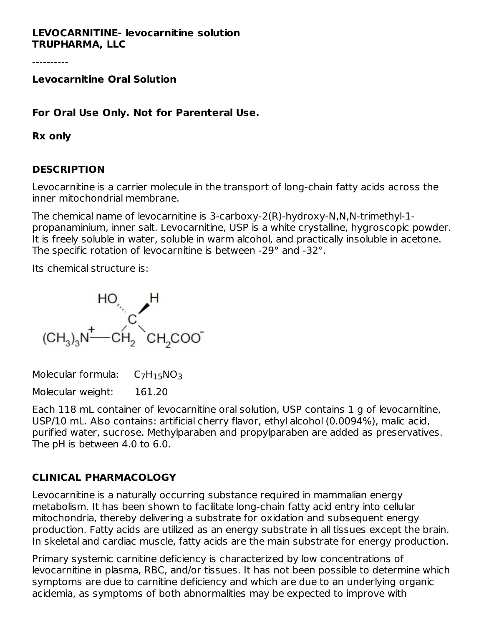#### **LEVOCARNITINE- levocarnitine solution TRUPHARMA, LLC**

----------

**Levocarnitine Oral Solution**

**For Oral Use Only. Not for Parenteral Use.**

#### **Rx only**

#### **DESCRIPTION**

Levocarnitine is a carrier molecule in the transport of long-chain fatty acids across the inner mitochondrial membrane.

The chemical name of levocarnitine is 3-carboxy-2(R)-hydroxy-N,N,N-trimethyl-1 propanaminium, inner salt. Levocarnitine, USP is a white crystalline, hygroscopic powder. It is freely soluble in water, soluble in warm alcohol, and practically insoluble in acetone. The specific rotation of levocarnitine is between -29° and -32°.

Its chemical structure is:



Molecular formula:  $C_7H_15NO_3$ 

Molecular weight: 161.20

Each 118 mL container of levocarnitine oral solution, USP contains 1 g of levocarnitine, USP/10 mL. Also contains: artificial cherry flavor, ethyl alcohol (0.0094%), malic acid, purified water, sucrose. Methylparaben and propylparaben are added as preservatives. The pH is between 4.0 to 6.0.

## **CLINICAL PHARMACOLOGY**

Levocarnitine is a naturally occurring substance required in mammalian energy metabolism. It has been shown to facilitate long-chain fatty acid entry into cellular mitochondria, thereby delivering a substrate for oxidation and subsequent energy production. Fatty acids are utilized as an energy substrate in all tissues except the brain. In skeletal and cardiac muscle, fatty acids are the main substrate for energy production.

Primary systemic carnitine deficiency is characterized by low concentrations of levocarnitine in plasma, RBC, and/or tissues. It has not been possible to determine which symptoms are due to carnitine deficiency and which are due to an underlying organic acidemia, as symptoms of both abnormalities may be expected to improve with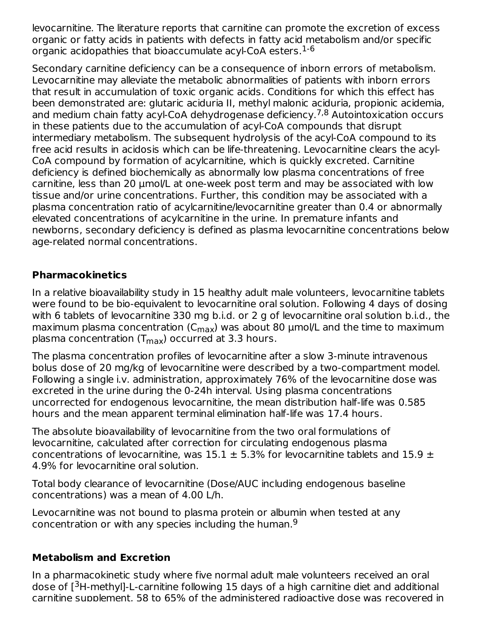levocarnitine. The literature reports that carnitine can promote the excretion of excess organic or fatty acids in patients with defects in fatty acid metabolism and/or specific organic acidopathies that bioaccumulate acyl-CoA esters. 1-6

Secondary carnitine deficiency can be a consequence of inborn errors of metabolism. Levocarnitine may alleviate the metabolic abnormalities of patients with inborn errors that result in accumulation of toxic organic acids. Conditions for which this effect has been demonstrated are: glutaric aciduria II, methyl malonic aciduria, propionic acidemia, and medium chain fatty acyl-CoA dehydrogenase deficiency.<sup>7,8</sup> Autointoxication occurs in these patients due to the accumulation of acyl-CoA compounds that disrupt intermediary metabolism. The subsequent hydrolysis of the acyl-CoA compound to its free acid results in acidosis which can be life-threatening. Levocarnitine clears the acyl-CoA compound by formation of acylcarnitine, which is quickly excreted. Carnitine deficiency is defined biochemically as abnormally low plasma concentrations of free carnitine, less than 20 µmol/L at one-week post term and may be associated with low tissue and/or urine concentrations. Further, this condition may be associated with a plasma concentration ratio of acylcarnitine/levocarnitine greater than 0.4 or abnormally elevated concentrations of acylcarnitine in the urine. In premature infants and newborns, secondary deficiency is defined as plasma levocarnitine concentrations below age-related normal concentrations.

## **Pharmacokinetics**

In a relative bioavailability study in 15 healthy adult male volunteers, levocarnitine tablets were found to be bio-equivalent to levocarnitine oral solution. Following 4 days of dosing with 6 tablets of levocarnitine 330 mg b.i.d. or 2 g of levocarnitine oral solution b.i.d., the maximum plasma concentration (C $_{\sf max}$ ) was about 80  $\upmu$ mol/L and the time to maximum plasma concentration (T<sub>max</sub>) occurred at 3.3 hours.

The plasma concentration profiles of levocarnitine after a slow 3-minute intravenous bolus dose of 20 mg/kg of levocarnitine were described by a two-compartment model. Following a single i.v. administration, approximately 76% of the levocarnitine dose was excreted in the urine during the 0-24h interval. Using plasma concentrations uncorrected for endogenous levocarnitine, the mean distribution half-life was 0.585 hours and the mean apparent terminal elimination half-life was 17.4 hours.

The absolute bioavailability of levocarnitine from the two oral formulations of levocarnitine, calculated after correction for circulating endogenous plasma concentrations of levocarnitine, was  $15.1 \pm 5.3\%$  for levocarnitine tablets and  $15.9 \pm$ 4.9% for levocarnitine oral solution.

Total body clearance of levocarnitine (Dose/AUC including endogenous baseline concentrations) was a mean of 4.00 L/h.

Levocarnitine was not bound to plasma protein or albumin when tested at any concentration or with any species including the human. 9

## **Metabolism and Excretion**

In a pharmacokinetic study where five normal adult male volunteers received an oral dose of [<sup>3</sup>H-methyl]-L-carnitine following 15 days of a high carnitine diet and additional carnitine supplement, 58 to 65% of the administered radioactive dose was recovered in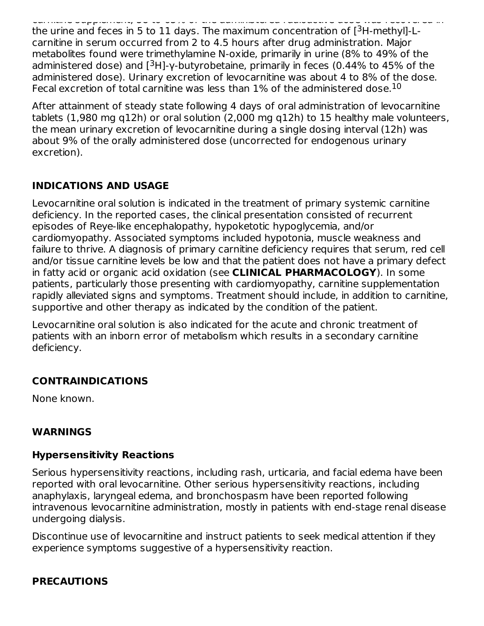carnitine supplement, 58 to 65% of the administered radioactive dose was recovered in the urine and feces in 5 to 11 days. The maximum concentration of  $[{}^{3}$ H-methyl]-Lcarnitine in serum occurred from 2 to 4.5 hours after drug administration. Major metabolites found were trimethylamine N-oxide, primarily in urine (8% to 49% of the administered dose) and  $[{}^{3}H]$ -γ-butyrobetaine, primarily in feces (0.44% to 45% of the administered dose). Urinary excretion of levocarnitine was about 4 to 8% of the dose. Fecal excretion of total carnitine was less than  $1\%$  of the administered dose. $^{10}$ 

After attainment of steady state following 4 days of oral administration of levocarnitine tablets (1,980 mg q12h) or oral solution (2,000 mg q12h) to 15 healthy male volunteers, the mean urinary excretion of levocarnitine during a single dosing interval (12h) was about 9% of the orally administered dose (uncorrected for endogenous urinary excretion).

## **INDICATIONS AND USAGE**

Levocarnitine oral solution is indicated in the treatment of primary systemic carnitine deficiency. In the reported cases, the clinical presentation consisted of recurrent episodes of Reye-like encephalopathy, hypoketotic hypoglycemia, and/or cardiomyopathy. Associated symptoms included hypotonia, muscle weakness and failure to thrive. A diagnosis of primary carnitine deficiency requires that serum, red cell and/or tissue carnitine levels be low and that the patient does not have a primary defect in fatty acid or organic acid oxidation (see **CLINICAL PHARMACOLOGY**). In some patients, particularly those presenting with cardiomyopathy, carnitine supplementation rapidly alleviated signs and symptoms. Treatment should include, in addition to carnitine, supportive and other therapy as indicated by the condition of the patient.

Levocarnitine oral solution is also indicated for the acute and chronic treatment of patients with an inborn error of metabolism which results in a secondary carnitine deficiency.

# **CONTRAINDICATIONS**

None known.

## **WARNINGS**

#### **Hypersensitivity Reactions**

Serious hypersensitivity reactions, including rash, urticaria, and facial edema have been reported with oral levocarnitine. Other serious hypersensitivity reactions, including anaphylaxis, laryngeal edema, and bronchospasm have been reported following intravenous levocarnitine administration, mostly in patients with end-stage renal disease undergoing dialysis.

Discontinue use of levocarnitine and instruct patients to seek medical attention if they experience symptoms suggestive of a hypersensitivity reaction.

#### **PRECAUTIONS**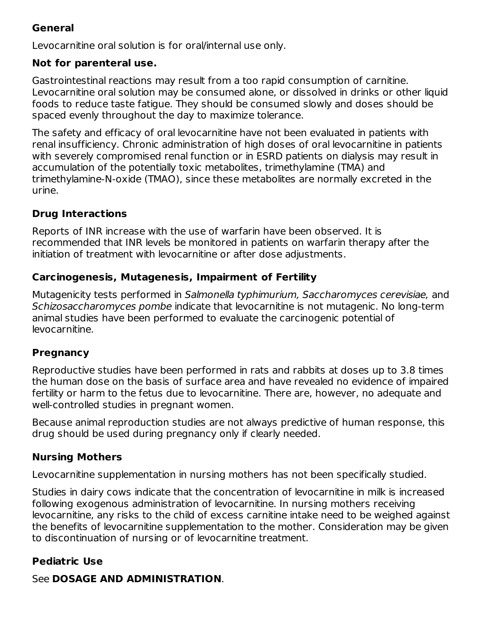## **General**

Levocarnitine oral solution is for oral/internal use only.

## **Not for parenteral use.**

Gastrointestinal reactions may result from a too rapid consumption of carnitine. Levocarnitine oral solution may be consumed alone, or dissolved in drinks or other liquid foods to reduce taste fatigue. They should be consumed slowly and doses should be spaced evenly throughout the day to maximize tolerance.

The safety and efficacy of oral levocarnitine have not been evaluated in patients with renal insufficiency. Chronic administration of high doses of oral levocarnitine in patients with severely compromised renal function or in ESRD patients on dialysis may result in accumulation of the potentially toxic metabolites, trimethylamine (TMA) and trimethylamine-N-oxide (TMAO), since these metabolites are normally excreted in the urine.

# **Drug Interactions**

Reports of INR increase with the use of warfarin have been observed. It is recommended that INR levels be monitored in patients on warfarin therapy after the initiation of treatment with levocarnitine or after dose adjustments.

## **Carcinogenesis, Mutagenesis, Impairment of Fertility**

Mutagenicity tests performed in Salmonella typhimurium, Saccharomyces cerevisiae, and Schizosaccharomyces pombe indicate that levocarnitine is not mutagenic. No long-term animal studies have been performed to evaluate the carcinogenic potential of levocarnitine.

## **Pregnancy**

Reproductive studies have been performed in rats and rabbits at doses up to 3.8 times the human dose on the basis of surface area and have revealed no evidence of impaired fertility or harm to the fetus due to levocarnitine. There are, however, no adequate and well-controlled studies in pregnant women.

Because animal reproduction studies are not always predictive of human response, this drug should be used during pregnancy only if clearly needed.

# **Nursing Mothers**

Levocarnitine supplementation in nursing mothers has not been specifically studied.

Studies in dairy cows indicate that the concentration of levocarnitine in milk is increased following exogenous administration of levocarnitine. In nursing mothers receiving levocarnitine, any risks to the child of excess carnitine intake need to be weighed against the benefits of levocarnitine supplementation to the mother. Consideration may be given to discontinuation of nursing or of levocarnitine treatment.

# **Pediatric Use**

See **DOSAGE AND ADMINISTRATION**.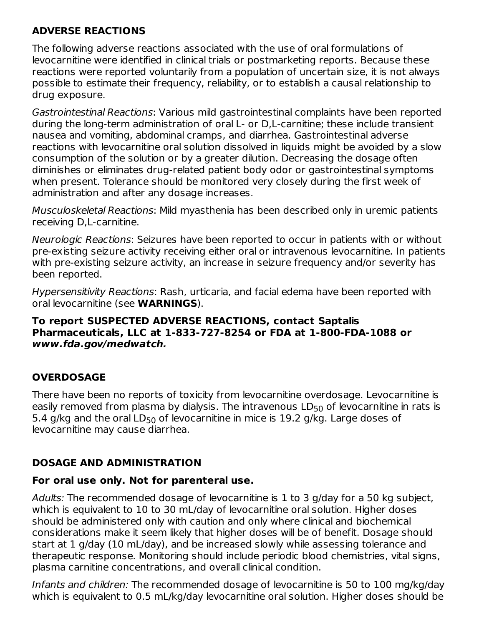## **ADVERSE REACTIONS**

The following adverse reactions associated with the use of oral formulations of levocarnitine were identified in clinical trials or postmarketing reports. Because these reactions were reported voluntarily from a population of uncertain size, it is not always possible to estimate their frequency, reliability, or to establish a causal relationship to drug exposure.

Gastrointestinal Reactions: Various mild gastrointestinal complaints have been reported during the long-term administration of oral L- or D,L-carnitine; these include transient nausea and vomiting, abdominal cramps, and diarrhea. Gastrointestinal adverse reactions with levocarnitine oral solution dissolved in liquids might be avoided by a slow consumption of the solution or by a greater dilution. Decreasing the dosage often diminishes or eliminates drug-related patient body odor or gastrointestinal symptoms when present. Tolerance should be monitored very closely during the first week of administration and after any dosage increases.

Musculoskeletal Reactions: Mild myasthenia has been described only in uremic patients receiving D,L-carnitine.

Neurologic Reactions: Seizures have been reported to occur in patients with or without pre-existing seizure activity receiving either oral or intravenous levocarnitine. In patients with pre-existing seizure activity, an increase in seizure frequency and/or severity has been reported.

Hypersensitivity Reactions: Rash, urticaria, and facial edema have been reported with oral levocarnitine (see **WARNINGS**).

#### **To report SUSPECTED ADVERSE REACTIONS, contact Saptalis Pharmaceuticals, LLC at 1-833-727-8254 or FDA at 1-800-FDA-1088 or www.fda.gov/medwatch.**

# **OVERDOSAGE**

There have been no reports of toxicity from levocarnitine overdosage. Levocarnitine is easily removed from plasma by dialysis. The intravenous  $\mathsf{LD}_{50}$  of levocarnitine in rats is 5.4 g/kg and the oral LD<sub>50</sub> of levocarnitine in mice is  $19.2$  g/kg. Large doses of levocarnitine may cause diarrhea.

## **DOSAGE AND ADMINISTRATION**

## **For oral use only. Not for parenteral use.**

Adults: The recommended dosage of levocarnitine is 1 to 3 g/day for a 50 kg subject, which is equivalent to 10 to 30 mL/day of levocarnitine oral solution. Higher doses should be administered only with caution and only where clinical and biochemical considerations make it seem likely that higher doses will be of benefit. Dosage should start at 1 g/day (10 mL/day), and be increased slowly while assessing tolerance and therapeutic response. Monitoring should include periodic blood chemistries, vital signs, plasma carnitine concentrations, and overall clinical condition.

Infants and children: The recommended dosage of levocarnitine is 50 to 100 mg/kg/day which is equivalent to 0.5 mL/kg/day levocarnitine oral solution. Higher doses should be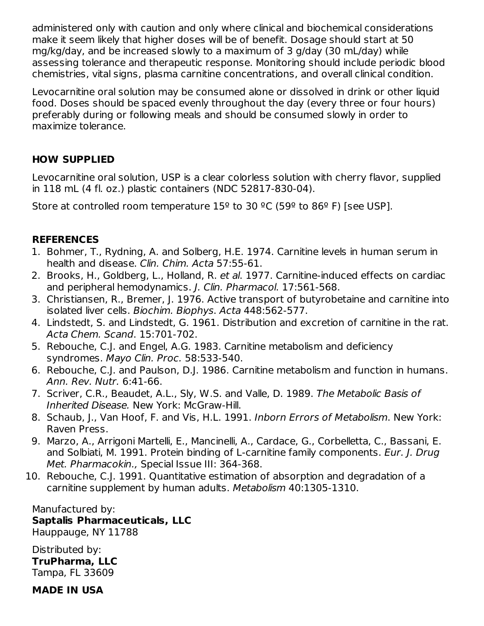administered only with caution and only where clinical and biochemical considerations make it seem likely that higher doses will be of benefit. Dosage should start at 50 mg/kg/day, and be increased slowly to a maximum of 3 g/day (30 mL/day) while assessing tolerance and therapeutic response. Monitoring should include periodic blood chemistries, vital signs, plasma carnitine concentrations, and overall clinical condition.

Levocarnitine oral solution may be consumed alone or dissolved in drink or other liquid food. Doses should be spaced evenly throughout the day (every three or four hours) preferably during or following meals and should be consumed slowly in order to maximize tolerance.

## **HOW SUPPLIED**

Levocarnitine oral solution, USP is a clear colorless solution with cherry flavor, supplied in 118 mL (4 fl. oz.) plastic containers (NDC 52817-830-04).

Store at controlled room temperature  $15^{\circ}$  to 30 °C (59° to 86° F) [see USP].

## **REFERENCES**

- 1. Bohmer, T., Rydning, A. and Solberg, H.E. 1974. Carnitine levels in human serum in health and disease. Clin. Chim. Acta 57:55-61.
- 2. Brooks, H., Goldberg, L., Holland, R. et al. 1977. Carnitine-induced effects on cardiac and peripheral hemodynamics. J. Clin. Pharmacol. 17:561-568.
- 3. Christiansen, R., Bremer, J. 1976. Active transport of butyrobetaine and carnitine into isolated liver cells. Biochim. Biophys. Acta 448:562-577.
- 4. Lindstedt, S. and Lindstedt, G. 1961. Distribution and excretion of carnitine in the rat. Acta Chem. Scand. 15:701-702.
- 5. Rebouche, C.J. and Engel, A.G. 1983. Carnitine metabolism and deficiency syndromes. Mayo Clin. Proc. 58:533-540.
- 6. Rebouche, C.J. and Paulson, D.J. 1986. Carnitine metabolism and function in humans. Ann. Rev. Nutr. 6:41-66.
- 7. Scriver, C.R., Beaudet, A.L., Sly, W.S. and Valle, D. 1989. The Metabolic Basis of Inherited Disease. New York: McGraw-Hill.
- 8. Schaub, J., Van Hoof, F. and Vis, H.L. 1991. Inborn Errors of Metabolism. New York: Raven Press.
- 9. Marzo, A., Arrigoni Martelli, E., Mancinelli, A., Cardace, G., Corbelletta, C., Bassani, E. and Solbiati, M. 1991. Protein binding of L-carnitine family components. Eur. J. Drug Met. Pharmacokin., Special Issue III: 364-368.
- 10. Rebouche, C.J. 1991. Quantitative estimation of absorption and degradation of a carnitine supplement by human adults. Metabolism 40:1305-1310.

Manufactured by: **Saptalis Pharmaceuticals, LLC** Hauppauge, NY 11788

Distributed by: **TruPharma, LLC** Tampa, FL 33609

**MADE IN USA**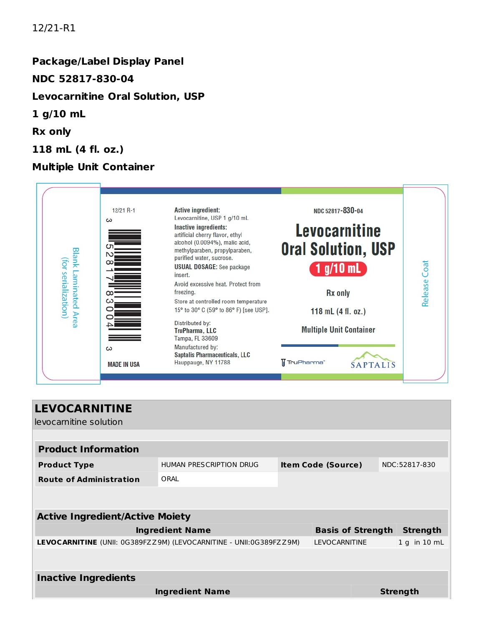#### 12/21-R1

# **Package/Label Display Panel NDC 52817-830-04 Levocarnitine Oral Solution, USP 1 g/10 mL Rx only 118 mL (4 fl. oz.)**

## **Multiple Unit Container**



| <b>LEVOCARNITINE</b><br>levocarnitine solution                     |                                |                           |                      |                  |                 |  |  |  |
|--------------------------------------------------------------------|--------------------------------|---------------------------|----------------------|------------------|-----------------|--|--|--|
|                                                                    |                                |                           |                      |                  |                 |  |  |  |
| <b>Product Information</b>                                         |                                |                           |                      |                  |                 |  |  |  |
| <b>Product Type</b>                                                | <b>HUMAN PRESCRIPTION DRUG</b> | <b>Item Code (Source)</b> |                      |                  | NDC:52817-830   |  |  |  |
| <b>Route of Administration</b>                                     | ORAL                           |                           |                      |                  |                 |  |  |  |
|                                                                    |                                |                           |                      |                  |                 |  |  |  |
| <b>Active Ingredient/Active Moiety</b>                             |                                |                           |                      |                  |                 |  |  |  |
| <b>Ingredient Name</b><br><b>Basis of Strength</b>                 |                                |                           |                      |                  | <b>Strength</b> |  |  |  |
| LEVOCARNITINE (UNII: 0G389FZZ9M) (LEVOCARNITINE - UNII:0G389FZZ9M) |                                |                           | <b>LEVOCARNITINE</b> | $1 g$ in $10 mL$ |                 |  |  |  |
|                                                                    |                                |                           |                      |                  |                 |  |  |  |
| <b>Inactive Ingredients</b>                                        |                                |                           |                      |                  |                 |  |  |  |
| <b>Ingredient Name</b>                                             |                                |                           |                      | <b>Strength</b>  |                 |  |  |  |